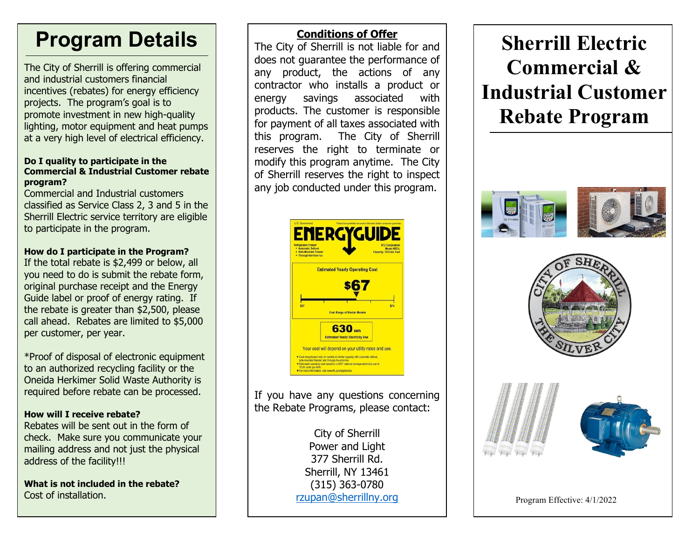# **Program Details**

The City of Sherrill is offering commercial and industrial customers financial incentives (rebates) for energy efficiency projects. The program's goal is to promote investment in new high-quality lighting, motor equipment and heat pumps at a very high level of electrical efficiency.

#### **Do I quality to participate in the Commercial & Industrial Customer rebate program?**

Commercial and Industrial customers classified as Service Class 2, 3 and 5 in the Sherrill Electric service territory are eligible to participate in the program.

## **How do I participate in the Program?**

If the total rebate is \$2,499 or below, all you need to do is submit the rebate form, original purchase receipt and the Energy Guide label or proof of energy rating. If the rebate is greater than \$2,500, please call ahead. Rebates are limited to \$5,000 per customer, per year.

\*Proof of disposal of electronic equipment to an authorized recycling facility or the Oneida Herkimer Solid Waste Authority is required before rebate can be processed.

## **How will I receive rebate?**

Rebates will be sent out in the form of check. Make sure you communicate your mailing address and not just the physical address of the facility!!!

**What is not included in the rebate?** Cost of installation.

# **Conditions of Offer**

The City of Sherrill is not liable for and does not guarantee the performance of any product, the actions of any contractor who installs a product or energy savings associated with products. The customer is responsible for payment of all taxes associated with this program. The City of Sherrill reserves the right to terminate or modify this program anytime. The City of Sherrill reserves the right to inspect any job conducted under this program.



If you have any questions concerning the Rebate Programs, please contact:

> City of Sherrill Power and Light 377 Sherrill Rd. Sherrill, NY 13461 (315) 363-0780 [rzupan@sherrillny.org](mailto:rzupan@sherrillny.org)

**Sherrill Electric Commercial & Industrial Customer Rebate Program**









Program Effective: 4/1/2022